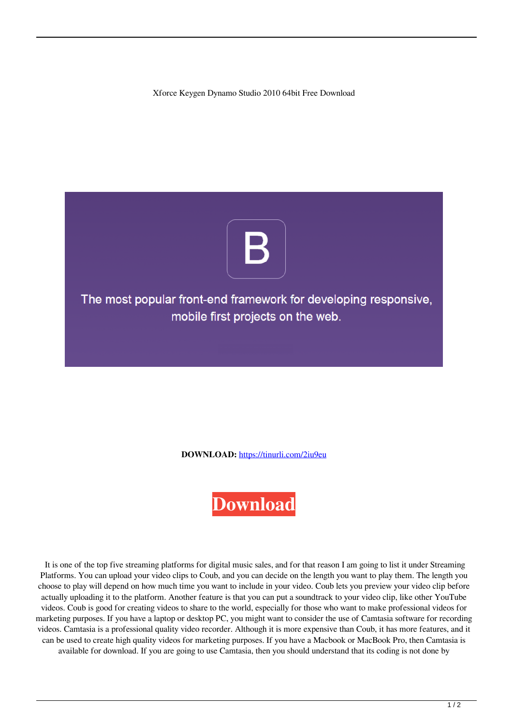Xforce Keygen Dynamo Studio 2010 64bit Free Download



**DOWNLOAD:** <https://tinurli.com/2iu9eu>



 It is one of the top five streaming platforms for digital music sales, and for that reason I am going to list it under Streaming Platforms. You can upload your video clips to Coub, and you can decide on the length you want to play them. The length you choose to play will depend on how much time you want to include in your video. Coub lets you preview your video clip before actually uploading it to the platform. Another feature is that you can put a soundtrack to your video clip, like other YouTube videos. Coub is good for creating videos to share to the world, especially for those who want to make professional videos for marketing purposes. If you have a laptop or desktop PC, you might want to consider the use of Camtasia software for recording videos. Camtasia is a professional quality video recorder. Although it is more expensive than Coub, it has more features, and it can be used to create high quality videos for marketing purposes. If you have a Macbook or MacBook Pro, then Camtasia is available for download. If you are going to use Camtasia, then you should understand that its coding is not done by